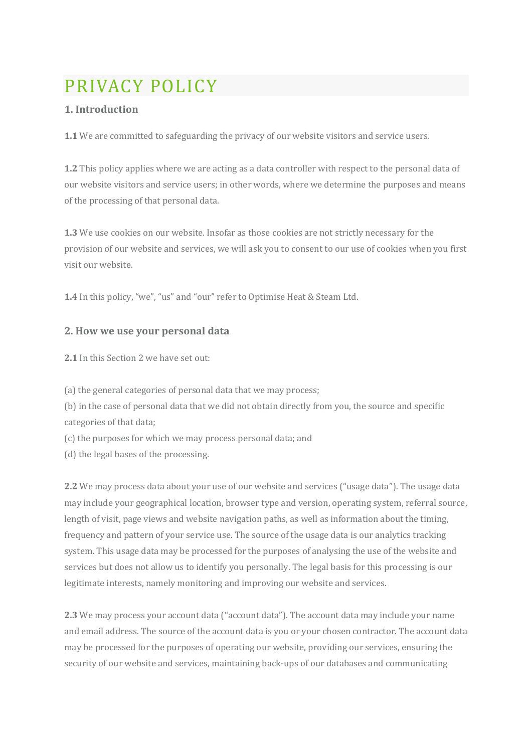# PRIVACY POLICY

## **1. Introduction**

**1.1** We are committed to safeguarding the privacy of our website visitors and service users.

**1.2** This policy applies where we are acting as a data controller with respect to the personal data of our website visitors and service users; in other words, where we determine the purposes and means of the processing of that personal data.

**1.3** We use cookies on our website. Insofar as those cookies are not strictly necessary for the provision of our website and services, we will ask you to consent to our use of cookies when you first visit our website.

**1.4** In this policy, "we", "us" and "our" refer to Optimise Heat & Steam Ltd.

## **2. How we use your personal data**

**2.1** In this Section 2 we have set out:

(a) the general categories of personal data that we may process;

(b) in the case of personal data that we did not obtain directly from you, the source and specific categories of that data;

(c) the purposes for which we may process personal data; and

(d) the legal bases of the processing.

**2.2** We may process data about your use of our website and services ("usage data"). The usage data may include your geographical location, browser type and version, operating system, referral source, length of visit, page views and website navigation paths, as well as information about the timing, frequency and pattern of your service use. The source of the usage data is our analytics tracking system. This usage data may be processed for the purposes of analysing the use of the website and services but does not allow us to identify you personally. The legal basis for this processing is our legitimate interests, namely monitoring and improving our website and services.

**2.3** We may process your account data ("account data"). The account data may include your name and email address. The source of the account data is you or your chosen contractor. The account data may be processed for the purposes of operating our website, providing our services, ensuring the security of our website and services, maintaining back-ups of our databases and communicating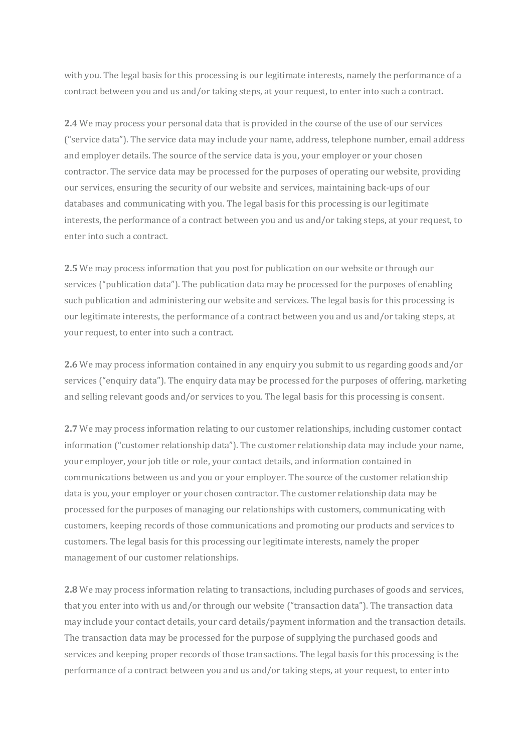with you. The legal basis for this processing is our legitimate interests, namely the performance of a contract between you and us and/or taking steps, at your request, to enter into such a contract.

**2.4** We may process your personal data that is provided in the course of the use of our services ("service data"). The service data may include your name, address, telephone number, email address and employer details. The source of the service data is you, your employer or your chosen contractor. The service data may be processed for the purposes of operating our website, providing our services, ensuring the security of our website and services, maintaining back-ups of our databases and communicating with you. The legal basis for this processing is our legitimate interests, the performance of a contract between you and us and/or taking steps, at your request, to enter into such a contract.

**2.5** We may process information that you post for publication on our website or through our services ("publication data"). The publication data may be processed for the purposes of enabling such publication and administering our website and services. The legal basis for this processing is our legitimate interests, the performance of a contract between you and us and/or taking steps, at your request, to enter into such a contract.

**2.6** We may process information contained in any enquiry you submit to us regarding goods and/or services ("enquiry data"). The enquiry data may be processed for the purposes of offering, marketing and selling relevant goods and/or services to you. The legal basis for this processing is consent.

**2.7** We may process information relating to our customer relationships, including customer contact information ("customer relationship data"). The customer relationship data may include your name, your employer, your job title or role, your contact details, and information contained in communications between us and you or your employer. The source of the customer relationship data is you, your employer or your chosen contractor. The customer relationship data may be processed for the purposes of managing our relationships with customers, communicating with customers, keeping records of those communications and promoting our products and services to customers. The legal basis for this processing our legitimate interests, namely the proper management of our customer relationships.

**2.8** We may process information relating to transactions, including purchases of goods and services, that you enter into with us and/or through our website ("transaction data"). The transaction data may include your contact details, your card details/payment information and the transaction details. The transaction data may be processed for the purpose of supplying the purchased goods and services and keeping proper records of those transactions. The legal basis for this processing is the performance of a contract between you and us and/or taking steps, at your request, to enter into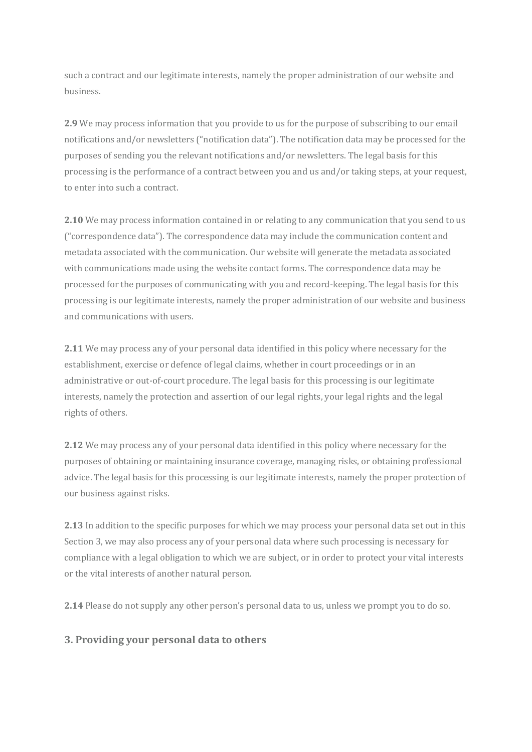such a contract and our legitimate interests, namely the proper administration of our website and business.

**2.9** We may process information that you provide to us for the purpose of subscribing to our email notifications and/or newsletters ("notification data"). The notification data may be processed for the purposes of sending you the relevant notifications and/or newsletters. The legal basis for this processing is the performance of a contract between you and us and/or taking steps, at your request, to enter into such a contract.

**2.10** We may process information contained in or relating to any communication that you send to us ("correspondence data"). The correspondence data may include the communication content and metadata associated with the communication. Our website will generate the metadata associated with communications made using the website contact forms. The correspondence data may be processed for the purposes of communicating with you and record-keeping. The legal basis for this processing is our legitimate interests, namely the proper administration of our website and business and communications with users.

**2.11** We may process any of your personal data identified in this policy where necessary for the establishment, exercise or defence of legal claims, whether in court proceedings or in an administrative or out-of-court procedure. The legal basis for this processing is our legitimate interests, namely the protection and assertion of our legal rights, your legal rights and the legal rights of others.

**2.12** We may process any of your personal data identified in this policy where necessary for the purposes of obtaining or maintaining insurance coverage, managing risks, or obtaining professional advice. The legal basis for this processing is our legitimate interests, namely the proper protection of our business against risks.

**2.13** In addition to the specific purposes for which we may process your personal data set out in this Section 3, we may also process any of your personal data where such processing is necessary for compliance with a legal obligation to which we are subject, or in order to protect your vital interests or the vital interests of another natural person.

**2.14** Please do not supply any other person's personal data to us, unless we prompt you to do so.

#### **3. Providing your personal data to others**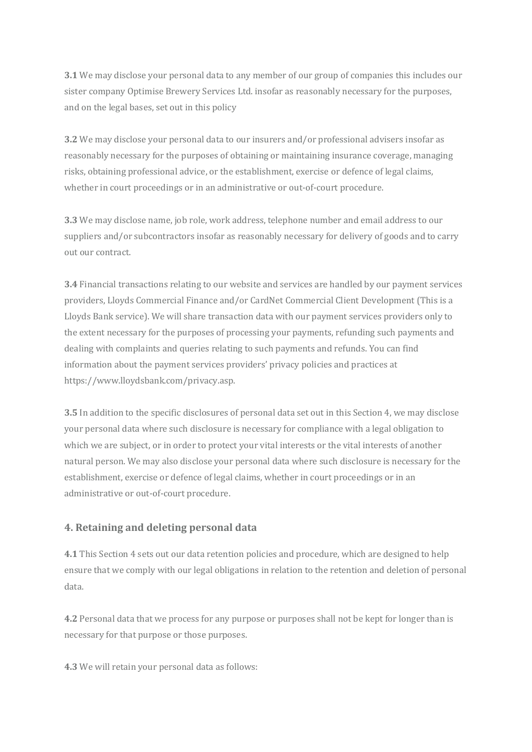**3.1** We may disclose your personal data to any member of our group of companies this includes our sister company Optimise Brewery Services Ltd. insofar as reasonably necessary for the purposes, and on the legal bases, set out in this policy

**3.2** We may disclose your personal data to our insurers and/or professional advisers insofar as reasonably necessary for the purposes of obtaining or maintaining insurance coverage, managing risks, obtaining professional advice, or the establishment, exercise or defence of legal claims, whether in court proceedings or in an administrative or out-of-court procedure.

**3.3** We may disclose name, job role, work address, telephone number and email address to our suppliers and/or subcontractors insofar as reasonably necessary for delivery of goods and to carry out our contract.

**3.4** Financial transactions relating to our website and services are handled by our payment services providers, Lloyds Commercial Finance and/or CardNet Commercial Client Development (This is a Lloyds Bank service). We will share transaction data with our payment services providers only to the extent necessary for the purposes of processing your payments, refunding such payments and dealing with complaints and queries relating to such payments and refunds. You can find information about the payment services providers' privacy policies and practices at https://www.lloydsbank.com/privacy.asp.

**3.5** In addition to the specific disclosures of personal data set out in this Section 4, we may disclose your personal data where such disclosure is necessary for compliance with a legal obligation to which we are subject, or in order to protect your vital interests or the vital interests of another natural person. We may also disclose your personal data where such disclosure is necessary for the establishment, exercise or defence of legal claims, whether in court proceedings or in an administrative or out-of-court procedure.

## **4. Retaining and deleting personal data**

**4.1** This Section 4 sets out our data retention policies and procedure, which are designed to help ensure that we comply with our legal obligations in relation to the retention and deletion of personal data.

**4.2** Personal data that we process for any purpose or purposes shall not be kept for longer than is necessary for that purpose or those purposes.

**4.3** We will retain your personal data as follows: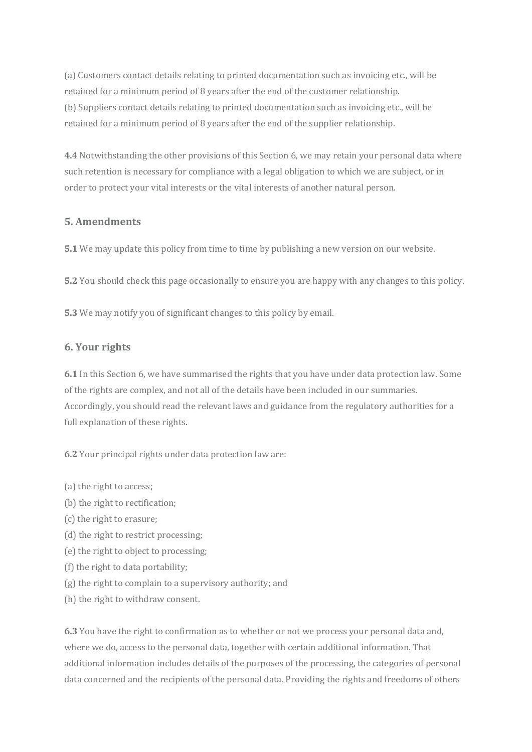(a) Customers contact details relating to printed documentation such as invoicing etc., will be retained for a minimum period of 8 years after the end of the customer relationship. (b) Suppliers contact details relating to printed documentation such as invoicing etc., will be retained for a minimum period of 8 years after the end of the supplier relationship.

**4.4** Notwithstanding the other provisions of this Section 6, we may retain your personal data where such retention is necessary for compliance with a legal obligation to which we are subject, or in order to protect your vital interests or the vital interests of another natural person.

#### **5. Amendments**

**5.1** We may update this policy from time to time by publishing a new version on our website.

**5.2** You should check this page occasionally to ensure you are happy with any changes to this policy.

**5.3** We may notify you of significant changes to this policy by email.

#### **6. Your rights**

**6.1** In this Section 6, we have summarised the rights that you have under data protection law. Some of the rights are complex, and not all of the details have been included in our summaries. Accordingly, you should read the relevant laws and guidance from the regulatory authorities for a full explanation of these rights.

**6.2** Your principal rights under data protection law are:

- (a) the right to access;
- (b) the right to rectification;
- (c) the right to erasure;
- (d) the right to restrict processing;
- (e) the right to object to processing;
- (f) the right to data portability;
- (g) the right to complain to a supervisory authority; and
- (h) the right to withdraw consent.

**6.3** You have the right to confirmation as to whether or not we process your personal data and, where we do, access to the personal data, together with certain additional information. That additional information includes details of the purposes of the processing, the categories of personal data concerned and the recipients of the personal data. Providing the rights and freedoms of others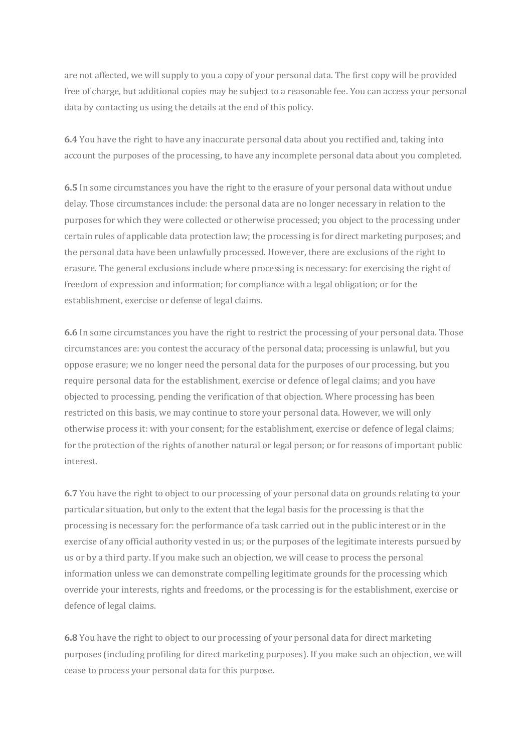are not affected, we will supply to you a copy of your personal data. The first copy will be provided free of charge, but additional copies may be subject to a reasonable fee. You can access your personal data by contacting us using the details at the end of this policy.

**6.4** You have the right to have any inaccurate personal data about you rectified and, taking into account the purposes of the processing, to have any incomplete personal data about you completed.

**6.5** In some circumstances you have the right to the erasure of your personal data without undue delay. Those circumstances include: the personal data are no longer necessary in relation to the purposes for which they were collected or otherwise processed; you object to the processing under certain rules of applicable data protection law; the processing is for direct marketing purposes; and the personal data have been unlawfully processed. However, there are exclusions of the right to erasure. The general exclusions include where processing is necessary: for exercising the right of freedom of expression and information; for compliance with a legal obligation; or for the establishment, exercise or defense of legal claims.

**6.6** In some circumstances you have the right to restrict the processing of your personal data. Those circumstances are: you contest the accuracy of the personal data; processing is unlawful, but you oppose erasure; we no longer need the personal data for the purposes of our processing, but you require personal data for the establishment, exercise or defence of legal claims; and you have objected to processing, pending the verification of that objection. Where processing has been restricted on this basis, we may continue to store your personal data. However, we will only otherwise process it: with your consent; for the establishment, exercise or defence of legal claims; for the protection of the rights of another natural or legal person; or for reasons of important public interest.

**6.7** You have the right to object to our processing of your personal data on grounds relating to your particular situation, but only to the extent that the legal basis for the processing is that the processing is necessary for: the performance of a task carried out in the public interest or in the exercise of any official authority vested in us; or the purposes of the legitimate interests pursued by us or by a third party. If you make such an objection, we will cease to process the personal information unless we can demonstrate compelling legitimate grounds for the processing which override your interests, rights and freedoms, or the processing is for the establishment, exercise or defence of legal claims.

**6.8** You have the right to object to our processing of your personal data for direct marketing purposes (including profiling for direct marketing purposes). If you make such an objection, we will cease to process your personal data for this purpose.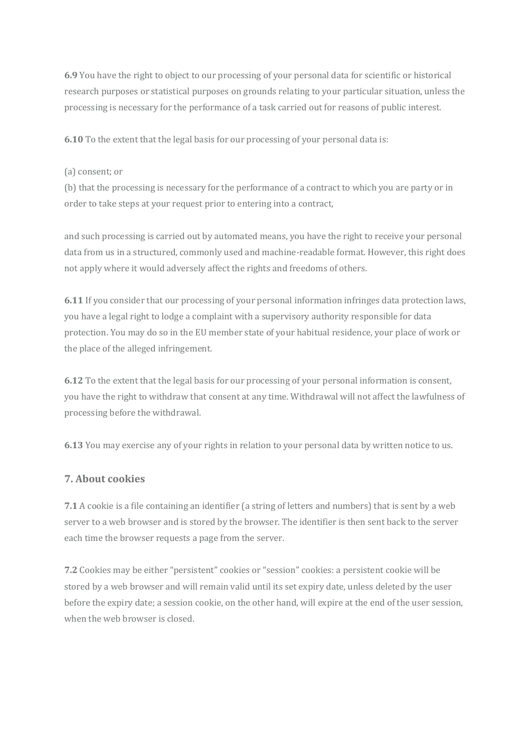**6.9** You have the right to object to our processing of your personal data for scientific or historical research purposes or statistical purposes on grounds relating to your particular situation, unless the processing is necessary for the performance of a task carried out for reasons of public interest.

**6.10** To the extent that the legal basis for our processing of your personal data is:

(a) consent; or

(b) that the processing is necessary for the performance of a contract to which you are party or in order to take steps at your request prior to entering into a contract,

and such processing is carried out by automated means, you have the right to receive your personal data from us in a structured, commonly used and machine-readable format. However, this right does not apply where it would adversely affect the rights and freedoms of others.

**6.11** If you consider that our processing of your personal information infringes data protection laws, you have a legal right to lodge a complaint with a supervisory authority responsible for data protection. You may do so in the EU member state of your habitual residence, your place of work or the place of the alleged infringement.

**6.12** To the extent that the legal basis for our processing of your personal information is consent, you have the right to withdraw that consent at any time. Withdrawal will not affect the lawfulness of processing before the withdrawal.

**6.13** You may exercise any of your rights in relation to your personal data by written notice to us.

#### **7. About cookies**

**7.1** A cookie is a file containing an identifier (a string of letters and numbers) that is sent by a web server to a web browser and is stored by the browser. The identifier is then sent back to the server each time the browser requests a page from the server.

**7.2** Cookies may be either "persistent" cookies or "session" cookies: a persistent cookie will be stored by a web browser and will remain valid until its set expiry date, unless deleted by the user before the expiry date; a session cookie, on the other hand, will expire at the end of the user session, when the web browser is closed.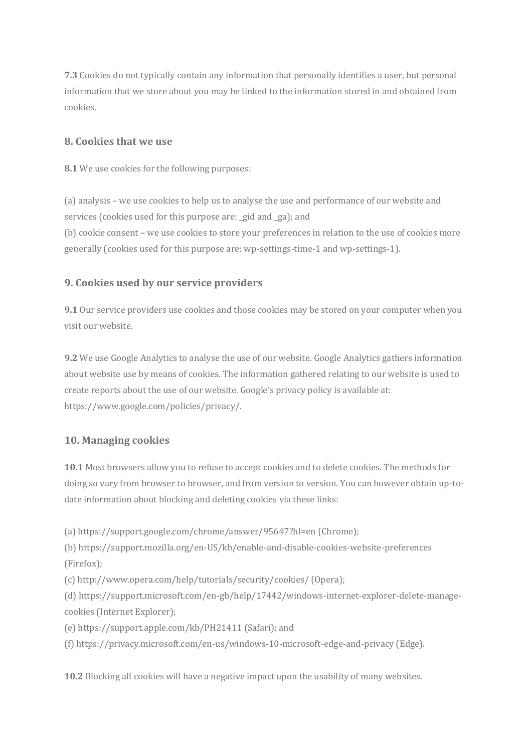**7.3** Cookies do not typically contain any information that personally identifies a user, but personal information that we store about you may be linked to the information stored in and obtained from cookies.

#### **8. Cookies that we use**

**8.1** We use cookies for the following purposes:

(a) analysis – we use cookies to help us to analyse the use and performance of our website and services (cookies used for this purpose are: \_gid and \_ga); and

(b) cookie consent – we use cookies to store your preferences in relation to the use of cookies more generally (cookies used for this purpose are: wp-settings-time-1 and wp-settings-1).

## **9. Cookies used by our service providers**

**9.1** Our service providers use cookies and those cookies may be stored on your computer when you visit our website.

**9.2** We use Google Analytics to analyse the use of our website. Google Analytics gathers information about website use by means of cookies. The information gathered relating to our website is used to create reports about the use of our website. Google's privacy policy is available at: https://www.google.com/policies/privacy/.

## **10. Managing cookies**

**10.1** Most browsers allow you to refuse to accept cookies and to delete cookies. The methods for doing so vary from browser to browser, and from version to version. You can however obtain up-todate information about blocking and deleting cookies via these links:

(a) https://support.google.com/chrome/answer/95647?hl=en (Chrome);

(b) https://support.mozilla.org/en-US/kb/enable-and-disable-cookies-website-preferences (Firefox);

(c) http://www.opera.com/help/tutorials/security/cookies/ (Opera);

(d) https://support.microsoft.com/en-gb/help/17442/windows-internet-explorer-delete-managecookies (Internet Explorer);

(e) https://support.apple.com/kb/PH21411 (Safari); and

(f) https://privacy.microsoft.com/en-us/windows-10-microsoft-edge-and-privacy (Edge).

**10.2** Blocking all cookies will have a negative impact upon the usability of many websites.